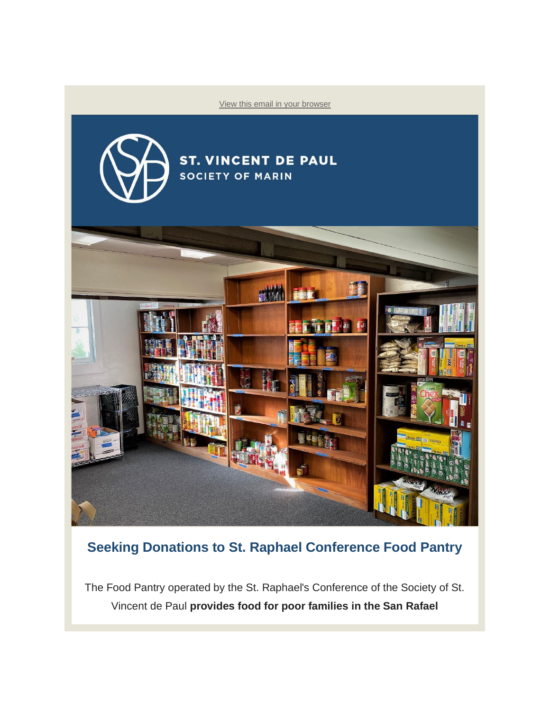

## **Seeking Donations to St. Raphael Conference Food Pantry**

The Food Pantry operated by the St. Raphael's Conference of the Society of St. Vincent de Paul **provides food for poor families in the San Rafael**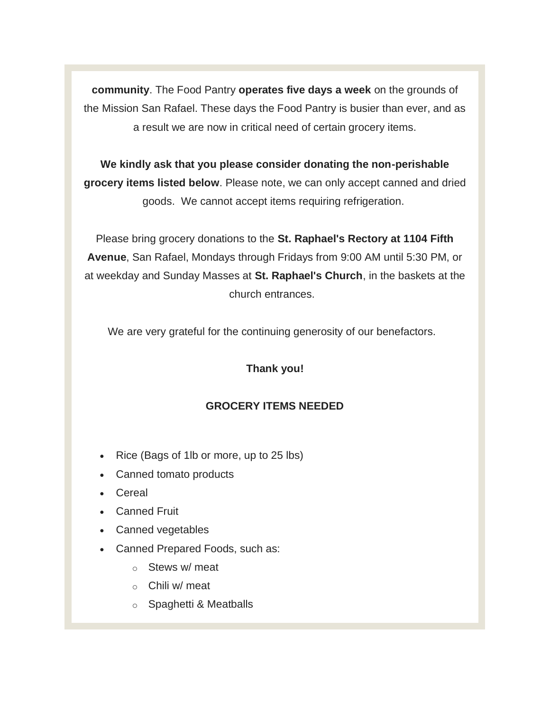**community**. The Food Pantry **operates five days a week** on the grounds of the Mission San Rafael. These days the Food Pantry is busier than ever, and as a result we are now in critical need of certain grocery items.

**We kindly ask that you please consider donating the non-perishable grocery items listed below**. Please note, we can only accept canned and dried goods. We cannot accept items requiring refrigeration.

Please bring grocery donations to the **St. Raphael's Rectory at 1104 Fifth Avenue**, San Rafael, Mondays through Fridays from 9:00 AM until 5:30 PM, or at weekday and Sunday Masses at **St. Raphael's Church**, in the baskets at the church entrances.

We are very grateful for the continuing generosity of our benefactors.

## **Thank you!**

## **GROCERY ITEMS NEEDED**

- Rice (Bags of 1lb or more, up to 25 lbs)
- Canned tomato products
- Cereal
- Canned Fruit
- Canned vegetables
- Canned Prepared Foods, such as:
	- o Stews w/ meat
	- o Chili w/ meat
	- o Spaghetti & Meatballs